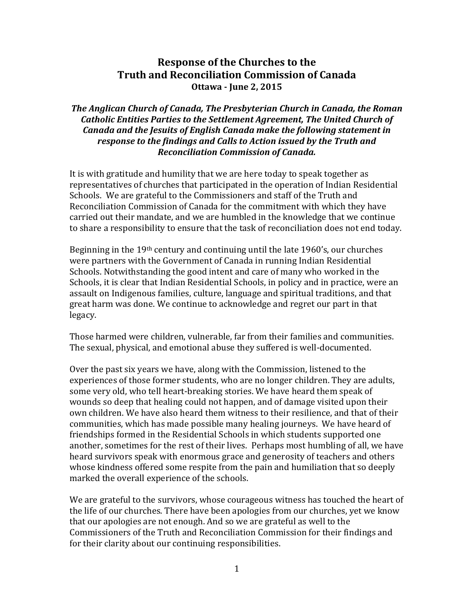## **Response of the Churches to the Truth and Reconciliation Commission of Canada Ottawa - June 2, 2015**

## *The Anglican Church of Canada, The Presbyterian Church in Canada, the Roman Catholic Entities Parties to the Settlement Agreement, The United Church of Canada and the Jesuits of English Canada make the following statement in response to the findings and Calls to Action issued by the Truth and Reconciliation Commission of Canada.*

It is with gratitude and humility that we are here today to speak together as representatives of churches that participated in the operation of Indian Residential Schools. We are grateful to the Commissioners and staff of the Truth and Reconciliation Commission of Canada for the commitment with which they have carried out their mandate, and we are humbled in the knowledge that we continue to share a responsibility to ensure that the task of reconciliation does not end today.

Beginning in the  $19<sup>th</sup>$  century and continuing until the late  $1960's$ , our churches were partners with the Government of Canada in running Indian Residential Schools. Notwithstanding the good intent and care of many who worked in the Schools, it is clear that Indian Residential Schools, in policy and in practice, were an assault on Indigenous families, culture, language and spiritual traditions, and that great harm was done. We continue to acknowledge and regret our part in that legacy.

Those harmed were children, vulnerable, far from their families and communities. The sexual, physical, and emotional abuse they suffered is well-documented.

Over the past six years we have, along with the Commission, listened to the experiences of those former students, who are no longer children. They are adults, some very old, who tell heart-breaking stories. We have heard them speak of wounds so deep that healing could not happen, and of damage visited upon their own children. We have also heard them witness to their resilience, and that of their communities, which has made possible many healing journeys. We have heard of friendships formed in the Residential Schools in which students supported one another, sometimes for the rest of their lives. Perhaps most humbling of all, we have heard survivors speak with enormous grace and generosity of teachers and others whose kindness offered some respite from the pain and humiliation that so deeply marked the overall experience of the schools.

We are grateful to the survivors, whose courageous witness has touched the heart of the life of our churches. There have been apologies from our churches, yet we know that our apologies are not enough. And so we are grateful as well to the Commissioners of the Truth and Reconciliation Commission for their findings and for their clarity about our continuing responsibilities.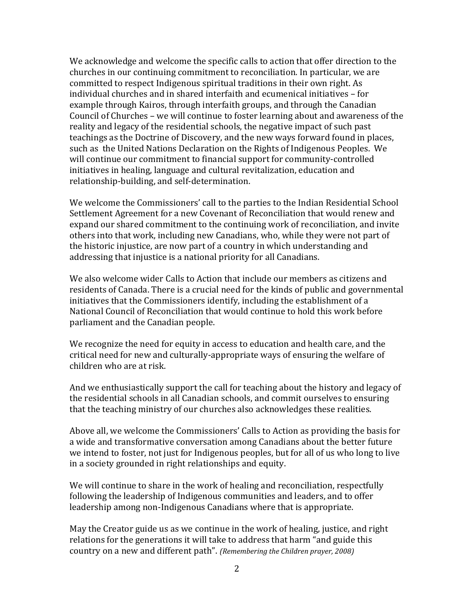We acknowledge and welcome the specific calls to action that offer direction to the churches in our continuing commitment to reconciliation. In particular, we are committed to respect Indigenous spiritual traditions in their own right. As individual churches and in shared interfaith and ecumenical initiatives – for example through Kairos, through interfaith groups, and through the Canadian Council of Churches – we will continue to foster learning about and awareness of the reality and legacy of the residential schools, the negative impact of such past teachings as the Doctrine of Discovery, and the new ways forward found in places, such as the United Nations Declaration on the Rights of Indigenous Peoples. We will continue our commitment to financial support for community-controlled initiatives in healing, language and cultural revitalization, education and relationship-building, and self-determination.

We welcome the Commissioners' call to the parties to the Indian Residential School Settlement Agreement for a new Covenant of Reconciliation that would renew and expand our shared commitment to the continuing work of reconciliation, and invite others into that work, including new Canadians, who, while they were not part of the historic injustice, are now part of a country in which understanding and addressing that injustice is a national priority for all Canadians.

We also welcome wider Calls to Action that include our members as citizens and residents of Canada. There is a crucial need for the kinds of public and governmental initiatives that the Commissioners identify, including the establishment of a National Council of Reconciliation that would continue to hold this work before parliament and the Canadian people.

We recognize the need for equity in access to education and health care, and the critical need for new and culturally-appropriate ways of ensuring the welfare of children who are at risk.

And we enthusiastically support the call for teaching about the history and legacy of the residential schools in all Canadian schools, and commit ourselves to ensuring that the teaching ministry of our churches also acknowledges these realities.

Above all, we welcome the Commissioners' Calls to Action as providing the basis for a wide and transformative conversation among Canadians about the better future we intend to foster, not just for Indigenous peoples, but for all of us who long to live in a society grounded in right relationships and equity.

We will continue to share in the work of healing and reconciliation, respectfully following the leadership of Indigenous communities and leaders, and to offer leadership among non-Indigenous Canadians where that is appropriate.

May the Creator guide us as we continue in the work of healing, justice, and right relations for the generations it will take to address that harm "and guide this country on a new and different path". *(Remembering the Children prayer, 2008)*